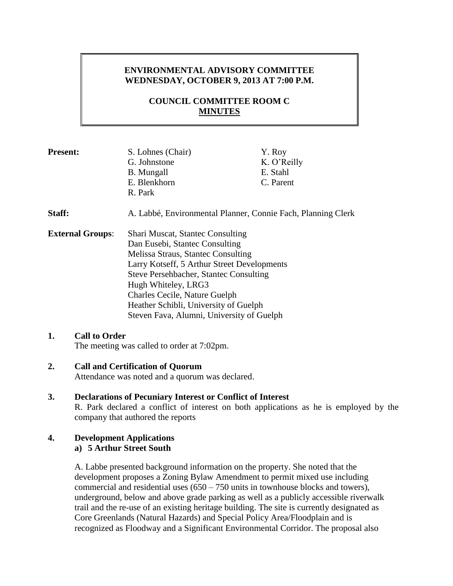# **ENVIRONMENTAL ADVISORY COMMITTEE WEDNESDAY, OCTOBER 9, 2013 AT 7:00 P.M.**

# **COUNCIL COMMITTEE ROOM C MINUTES**

| <b>Present:</b>         | S. Lohnes (Chair)<br>G. Johnstone<br><b>B.</b> Mungall<br>E. Blenkhorn<br>R. Park                                                                                                                                                                                                                                                                             | Y. Roy<br>K. O'Reilly<br>E. Stahl<br>C. Parent |
|-------------------------|---------------------------------------------------------------------------------------------------------------------------------------------------------------------------------------------------------------------------------------------------------------------------------------------------------------------------------------------------------------|------------------------------------------------|
| Staff:                  | A. Labbé, Environmental Planner, Connie Fach, Planning Clerk                                                                                                                                                                                                                                                                                                  |                                                |
| <b>External Groups:</b> | <b>Shari Muscat, Stantec Consulting</b><br>Dan Eusebi, Stantec Consulting<br>Melissa Straus, Stantec Consulting<br>Larry Kotseff, 5 Arthur Street Developments<br>Steve Persehbacher, Stantec Consulting<br>Hugh Whiteley, LRG3<br><b>Charles Cecile, Nature Guelph</b><br>Heather Schibli, University of Guelph<br>Steven Fava, Alumni, University of Guelph |                                                |

#### **1. Call to Order**

The meeting was called to order at 7:02pm.

#### **2. Call and Certification of Quorum**

Attendance was noted and a quorum was declared.

**3. Declarations of Pecuniary Interest or Conflict of Interest** R. Park declared a conflict of interest on both applications as he is employed by the company that authored the reports

#### **4. Development Applications a) 5 Arthur Street South**

A. Labbe presented background information on the property. She noted that the development proposes a Zoning Bylaw Amendment to permit mixed use including commercial and residential uses  $(650 - 750)$  units in townhouse blocks and towers), underground, below and above grade parking as well as a publicly accessible riverwalk trail and the re-use of an existing heritage building. The site is currently designated as Core Greenlands (Natural Hazards) and Special Policy Area/Floodplain and is recognized as Floodway and a Significant Environmental Corridor. The proposal also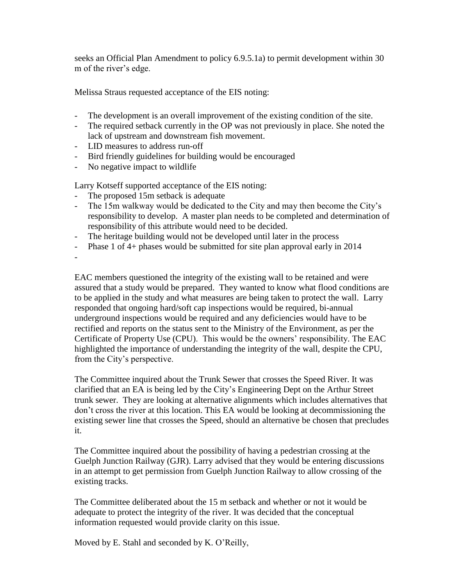seeks an Official Plan Amendment to policy 6.9.5.1a) to permit development within 30 m of the river's edge.

Melissa Straus requested acceptance of the EIS noting:

- The development is an overall improvement of the existing condition of the site.
- The required setback currently in the OP was not previously in place. She noted the lack of upstream and downstream fish movement.
- LID measures to address run-off
- Bird friendly guidelines for building would be encouraged
- No negative impact to wildlife

Larry Kotseff supported acceptance of the EIS noting:

- The proposed 15m setback is adequate
- The 15m walkway would be dedicated to the City and may then become the City's responsibility to develop. A master plan needs to be completed and determination of responsibility of this attribute would need to be decided.
- The heritage building would not be developed until later in the process
- Phase 1 of 4+ phases would be submitted for site plan approval early in 2014

-

EAC members questioned the integrity of the existing wall to be retained and were assured that a study would be prepared. They wanted to know what flood conditions are to be applied in the study and what measures are being taken to protect the wall. Larry responded that ongoing hard/soft cap inspections would be required, bi-annual underground inspections would be required and any deficiencies would have to be rectified and reports on the status sent to the Ministry of the Environment, as per the Certificate of Property Use (CPU). This would be the owners' responsibility. The EAC highlighted the importance of understanding the integrity of the wall, despite the CPU, from the City's perspective.

The Committee inquired about the Trunk Sewer that crosses the Speed River. It was clarified that an EA is being led by the City's Engineering Dept on the Arthur Street trunk sewer. They are looking at alternative alignments which includes alternatives that don't cross the river at this location. This EA would be looking at decommissioning the existing sewer line that crosses the Speed, should an alternative be chosen that precludes it.

The Committee inquired about the possibility of having a pedestrian crossing at the Guelph Junction Railway (GJR). Larry advised that they would be entering discussions in an attempt to get permission from Guelph Junction Railway to allow crossing of the existing tracks.

The Committee deliberated about the 15 m setback and whether or not it would be adequate to protect the integrity of the river. It was decided that the conceptual information requested would provide clarity on this issue.

Moved by E. Stahl and seconded by K. O'Reilly,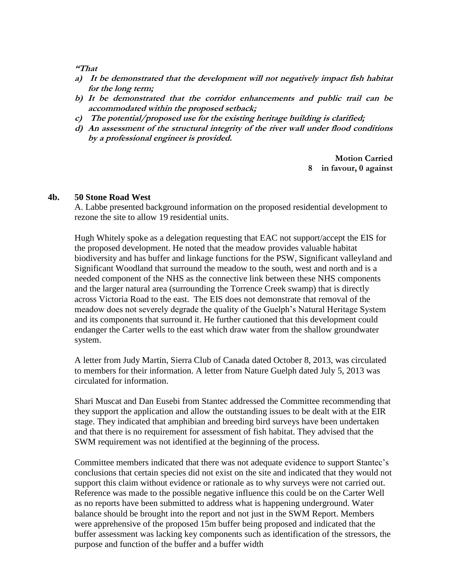**"That**

- **a) It be demonstrated that the development will not negatively impact fish habitat for the long term;**
- **b) It be demonstrated that the corridor enhancements and public trail can be accommodated within the proposed setback;**
- **c) The potential/proposed use for the existing heritage building is clarified;**
- **d) An assessment of the structural integrity of the river wall under flood conditions by a professional engineer is provided.**

**Motion Carried 8 in favour, 0 against**

#### **4b. 50 Stone Road West**

A. Labbe presented background information on the proposed residential development to rezone the site to allow 19 residential units.

Hugh Whitely spoke as a delegation requesting that EAC not support/accept the EIS for the proposed development. He noted that the meadow provides valuable habitat biodiversity and has buffer and linkage functions for the PSW, Significant valleyland and Significant Woodland that surround the meadow to the south, west and north and is a needed component of the NHS as the connective link between these NHS components and the larger natural area (surrounding the Torrence Creek swamp) that is directly across Victoria Road to the east. The EIS does not demonstrate that removal of the meadow does not severely degrade the quality of the Guelph's Natural Heritage System and its components that surround it. He further cautioned that this development could endanger the Carter wells to the east which draw water from the shallow groundwater system.

A letter from Judy Martin, Sierra Club of Canada dated October 8, 2013, was circulated to members for their information. A letter from Nature Guelph dated July 5, 2013 was circulated for information.

Shari Muscat and Dan Eusebi from Stantec addressed the Committee recommending that they support the application and allow the outstanding issues to be dealt with at the EIR stage. They indicated that amphibian and breeding bird surveys have been undertaken and that there is no requirement for assessment of fish habitat. They advised that the SWM requirement was not identified at the beginning of the process.

Committee members indicated that there was not adequate evidence to support Stantec's conclusions that certain species did not exist on the site and indicated that they would not support this claim without evidence or rationale as to why surveys were not carried out. Reference was made to the possible negative influence this could be on the Carter Well as no reports have been submitted to address what is happening underground. Water balance should be brought into the report and not just in the SWM Report. Members were apprehensive of the proposed 15m buffer being proposed and indicated that the buffer assessment was lacking key components such as identification of the stressors, the purpose and function of the buffer and a buffer width